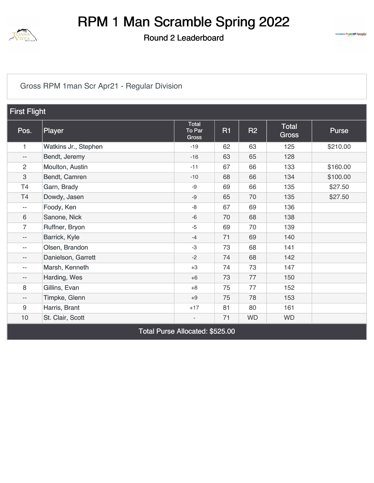

Round 2 Leaderboard



#### [Gross RPM 1man Scr Apr21 - Regular Division](https://static.golfgenius.com/v2tournaments/8418932389966826174?called_from=&round_index=2)

| <b>First Flight</b>      |                      |                                        |           |           |                              |              |  |  |
|--------------------------|----------------------|----------------------------------------|-----------|-----------|------------------------------|--------------|--|--|
| Pos.                     | Player               | Total<br>To Par<br>Gross               | <b>R1</b> | <b>R2</b> | <b>Total</b><br><b>Gross</b> | <b>Purse</b> |  |  |
| 1                        | Watkins Jr., Stephen | $-19$                                  | 62        | 63        | 125                          | \$210.00     |  |  |
| $-\,-$                   | Bendt, Jeremy        | $-16$                                  | 63        | 65        | 128                          |              |  |  |
| $\overline{2}$           | Moulton, Austin      | $-11$                                  | 67        | 66        | 133                          | \$160.00     |  |  |
| 3                        | Bendt, Camren        | $-10$                                  | 68        | 66        | 134                          | \$100.00     |  |  |
| T <sub>4</sub>           | Garn, Brady          | $-9$                                   | 69        | 66        | 135                          | \$27.50      |  |  |
| T4                       | Dowdy, Jasen         | $-9$                                   | 65        | 70        | 135                          | \$27.50      |  |  |
| $-\,-$                   | Foody, Ken           | $-8$                                   | 67        | 69        | 136                          |              |  |  |
| 6                        | Sanone, Nick         | $-6$                                   | 70        | 68        | 138                          |              |  |  |
| $\overline{7}$           | Ruffner, Bryon       | $-5$                                   | 69        | 70        | 139                          |              |  |  |
| $\overline{\phantom{a}}$ | Barrick, Kyle        | $-4$                                   | 71        | 69        | 140                          |              |  |  |
| $\overline{\phantom{a}}$ | Olsen, Brandon       | -3                                     | 73        | 68        | 141                          |              |  |  |
| $\overline{\phantom{m}}$ | Danielson, Garrett   | $-2$                                   | 74        | 68        | 142                          |              |  |  |
| $\overline{\phantom{a}}$ | Marsh, Kenneth       | $+3$                                   | 74        | 73        | 147                          |              |  |  |
| $-\,-$                   | Harding, Wes         | $+6$                                   | 73        | 77        | 150                          |              |  |  |
| 8                        | Gillins, Evan        | $+8$                                   | 75        | 77        | 152                          |              |  |  |
| $\overline{\phantom{a}}$ | Timpke, Glenn        | $+9$                                   | 75        | 78        | 153                          |              |  |  |
| 9                        | Harris, Brant        | $+17$                                  | 81        | 80        | 161                          |              |  |  |
| 10                       | St. Clair, Scott     | $\overline{\phantom{a}}$               | 71        | <b>WD</b> | <b>WD</b>                    |              |  |  |
|                          |                      | <b>Total Purse Allocated: \$525.00</b> |           |           |                              |              |  |  |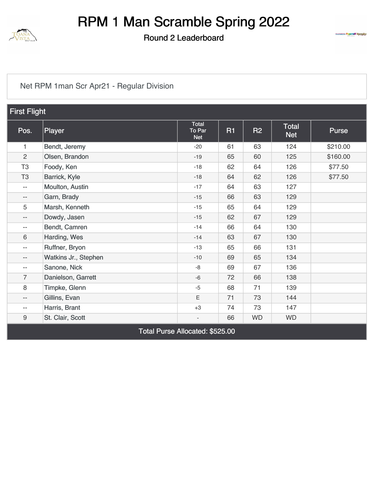

Round 2 Leaderboard



#### [Net RPM 1man Scr Apr21 - Regular Division](https://static.golfgenius.com/v2tournaments/8418932398120553151?called_from=&round_index=2)

| <b>First Flight</b>      |                      |                                      |           |           |                            |          |  |  |
|--------------------------|----------------------|--------------------------------------|-----------|-----------|----------------------------|----------|--|--|
| Pos.                     | Player               | <b>Total</b><br>To Par<br><b>Net</b> | <b>R1</b> | <b>R2</b> | <b>Total</b><br><b>Net</b> | Purse    |  |  |
| 1                        | Bendt, Jeremy        | $-20$                                | 61        | 63        | 124                        | \$210.00 |  |  |
| $\overline{2}$           | Olsen, Brandon       | $-19$                                | 65        | 60        | 125                        | \$160.00 |  |  |
| T <sub>3</sub>           | Foody, Ken           | $-18$                                | 62        | 64        | 126                        | \$77.50  |  |  |
| T <sub>3</sub>           | Barrick, Kyle        | $-18$                                | 64        | 62        | 126                        | \$77.50  |  |  |
| $-\, -$                  | Moulton, Austin      | $-17$                                | 64        | 63        | 127                        |          |  |  |
| $-\, -$                  | Garn, Brady          | $-15$                                | 66        | 63        | 129                        |          |  |  |
| 5                        | Marsh, Kenneth       | $-15$                                | 65        | 64        | 129                        |          |  |  |
| $\overline{\phantom{a}}$ | Dowdy, Jasen         | $-15$                                | 62        | 67        | 129                        |          |  |  |
| $\overline{\phantom{m}}$ | Bendt, Camren        | $-14$                                | 66        | 64        | 130                        |          |  |  |
| 6                        | Harding, Wes         | $-14$                                | 63        | 67        | 130                        |          |  |  |
| $-\, -$                  | Ruffner, Bryon       | $-13$                                | 65        | 66        | 131                        |          |  |  |
| $-\,-$                   | Watkins Jr., Stephen | $-10$                                | 69        | 65        | 134                        |          |  |  |
| $\overline{\phantom{a}}$ | Sanone, Nick         | $-8$                                 | 69        | 67        | 136                        |          |  |  |
| $\overline{7}$           | Danielson, Garrett   | $-6$                                 | 72        | 66        | 138                        |          |  |  |
| $\,8\,$                  | Timpke, Glenn        | $-5$                                 | 68        | 71        | 139                        |          |  |  |
| $-\, -$                  | Gillins, Evan        | E                                    | 71        | 73        | 144                        |          |  |  |
| $- -$                    | Harris, Brant        | $+3$                                 | 74        | 73        | 147                        |          |  |  |
| $\boldsymbol{9}$         | St. Clair, Scott     | $\overline{\phantom{a}}$             | 66        | <b>WD</b> | <b>WD</b>                  |          |  |  |
|                          |                      | Total Purse Allocated: \$525.00      |           |           |                            |          |  |  |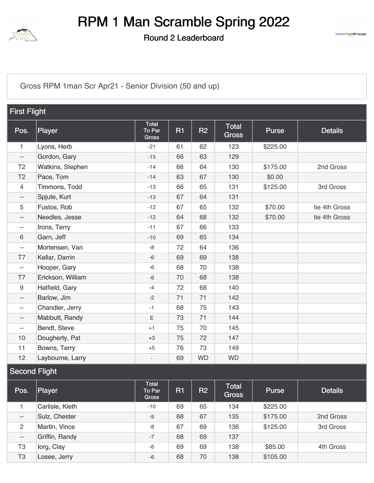

Round 2 Leaderboard



[Gross RPM 1man Scr Apr21 - Senior Division \(50 and up\)](https://static.golfgenius.com/v2tournaments/8418932369397959355?called_from=&round_index=2)

|                | <b>First Flight</b> |                                        |           |           |                              |              |                |  |  |  |
|----------------|---------------------|----------------------------------------|-----------|-----------|------------------------------|--------------|----------------|--|--|--|
| Pos.           | Player              | <b>Total</b><br>To Par<br><b>Gross</b> | <b>R1</b> | <b>R2</b> | <b>Total</b><br><b>Gross</b> | <b>Purse</b> | <b>Details</b> |  |  |  |
| $\mathbf{1}$   | Lyons, Herb         | $-21$                                  | 61        | 62        | 123                          | \$225.00     |                |  |  |  |
| --             | Gordon, Gary        | $-15$                                  | 66        | 63        | 129                          |              |                |  |  |  |
| T <sub>2</sub> | Watkins, Stephen    | $-14$                                  | 66        | 64        | 130                          | \$175.00     | 2nd Gross      |  |  |  |
| T <sub>2</sub> | Pace, Tom           | $-14$                                  | 63        | 67        | 130                          | \$0.00       |                |  |  |  |
| $\overline{4}$ | Timmons, Todd       | $-13$                                  | 66        | 65        | 131                          | \$125.00     | 3rd Gross      |  |  |  |
| --             | Spjute, Kurt        | $-13$                                  | 67        | 64        | 131                          |              |                |  |  |  |
| 5              | Fustos, Rob         | $-12$                                  | 67        | 65        | 132                          | \$70.00      | tie 4th Gross  |  |  |  |
| --             | Needles, Jesse      | $-12$                                  | 64        | 68        | 132                          | \$70.00      | tie 4th Gross  |  |  |  |
| --             | Irons, Terry        | $-11$                                  | 67        | 66        | 133                          |              |                |  |  |  |
| 6              | Garn, Jeff          | $-10$                                  | 69        | 65        | 134                          |              |                |  |  |  |
| --             | Mortensen, Van      | -8                                     | 72        | 64        | 136                          |              |                |  |  |  |
| T7             | Kellar, Darrin      | $-6$                                   | 69        | 69        | 138                          |              |                |  |  |  |
| --             | Hooper, Gary        | $-6$                                   | 68        | 70        | 138                          |              |                |  |  |  |
| T7             | Erickson, William   | $-6$                                   | 70        | 68        | 138                          |              |                |  |  |  |
| 9              | Hatfield, Gary      | $-4$                                   | 72        | 68        | 140                          |              |                |  |  |  |
| $- -$          | Barlow, Jim         | $-2$                                   | 71        | 71        | 142                          |              |                |  |  |  |
| $- -$          | Chandler, Jerry     | $-1$                                   | 68        | 75        | 143                          |              |                |  |  |  |
| --             | Mabbutt, Randy      | $\mathsf E$                            | 73        | 71        | 144                          |              |                |  |  |  |
| --             | Bendt, Steve        | $+1$                                   | 75        | 70        | 145                          |              |                |  |  |  |
| 10             | Dougherty, Pat      | $+3$                                   | 75        | 72        | 147                          |              |                |  |  |  |
| 11             | Bowns, Terry        | $+5$                                   | 76        | 73        | 149                          |              |                |  |  |  |
| 12             | Laybourne, Larry    |                                        | 69        | <b>WD</b> | <b>WD</b>                    |              |                |  |  |  |

#### Second Flight

| Pos.           | Player          | Total<br>To Par<br><b>Gross</b> | <b>R1</b> | R <sub>2</sub> | <b>Total</b><br><b>Gross</b> | <b>Purse</b> | <b>Details</b> |
|----------------|-----------------|---------------------------------|-----------|----------------|------------------------------|--------------|----------------|
|                | Carlisle, Kieth | $-10$                           | 69        | 65             | 134                          | \$225.00     |                |
| $- -$          | Sulz, Chester   | $-9$                            | 68        | 67             | 135                          | \$175.00     | 2nd Gross      |
| 2              | Martin, Vince   | -8                              | 67        | 69             | 136                          | \$125.00     | 3rd Gross      |
| $- -$          | Griffin, Randy  | $-7$                            | 68        | 69             | 137                          |              |                |
| T <sub>3</sub> | lorg, Clay      | $-6$                            | 69        | 69             | 138                          | \$85.00      | 4th Gross      |
| T <sub>3</sub> | Losee, Jerry    | $-6$                            | 68        | 70             | 138                          | \$105.00     |                |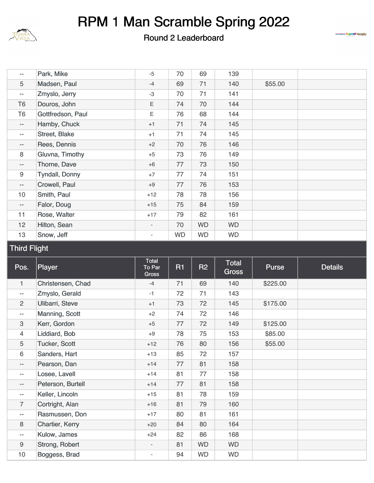

#### Round 2 Leaderboard



| --                       | Park, Mike            | $-5$                     | 70        | 69        | 139       |         |  |
|--------------------------|-----------------------|--------------------------|-----------|-----------|-----------|---------|--|
| 5                        | Madsen, Paul          | $-4$                     | 69        | 71        | 140       | \$55.00 |  |
| $\overline{\phantom{m}}$ | Zmyslo, Jerry         | $-3$                     | 70        | 71        | 141       |         |  |
| T <sub>6</sub>           | Douros, John          | Ε                        | 74        | 70        | 144       |         |  |
| T6                       | Gottfredson, Paul     | Ε                        | 76        | 68        | 144       |         |  |
| $- -$                    | Hamby, Chuck          | $+1$                     | 71        | 74        | 145       |         |  |
| --                       | Street, Blake         | $+1$                     | 71        | 74        | 145       |         |  |
| $\qquad \qquad -$        | Rees, Dennis          | $+2$                     | 70        | 76        | 146       |         |  |
| 8                        | Gluvna, Timothy       | $+5$                     | 73        | 76        | 149       |         |  |
| $\qquad \qquad -$        | Thorne, Dave          | $+6$                     | 77        | 73        | 150       |         |  |
| 9                        | <b>Tyndall, Donny</b> | $+7$                     | 77        | 74        | 151       |         |  |
| $\qquad \qquad -$        | Crowell, Paul         | $+9$                     | 77        | 76        | 153       |         |  |
| 10                       | Smith, Paul           | $+12$                    | 78        | 78        | 156       |         |  |
| $-\,-$                   | Falor, Doug           | $+15$                    | 75        | 84        | 159       |         |  |
| 11                       | Rose, Walter          | $+17$                    | 79        | 82        | 161       |         |  |
| 12 <sup>2</sup>          | Hilton, Sean          | $\overline{\phantom{a}}$ | 70        | <b>WD</b> | <b>WD</b> |         |  |
| 13                       | Snow, Jeff            | $\overline{\phantom{a}}$ | <b>WD</b> | <b>WD</b> | <b>WD</b> |         |  |

#### Third Flight

| Pos.                     | Player               | Total<br><b>To Par</b><br><b>Gross</b> | R1 | <b>R2</b> | <b>Total</b><br>Gross | <b>Purse</b> | <b>Details</b> |
|--------------------------|----------------------|----------------------------------------|----|-----------|-----------------------|--------------|----------------|
| 1                        | Christensen, Chad    | $-4$                                   | 71 | 69        | 140                   | \$225.00     |                |
| $\overline{\phantom{m}}$ | Zmyslo, Gerald       | $-1$                                   | 72 | 71        | 143                   |              |                |
| 2                        | Ulibarri, Steve      | $+1$                                   | 73 | 72        | 145                   | \$175.00     |                |
| $\overline{\phantom{m}}$ | Manning, Scott       | $+2$                                   | 74 | 72        | 146                   |              |                |
| 3                        | Kerr, Gordon         | $+5$                                   | 77 | 72        | 149                   | \$125.00     |                |
| 4                        | Liddiard, Bob        | $+9$                                   | 78 | 75        | 153                   | \$85.00      |                |
| 5                        | <b>Tucker, Scott</b> | $+12$                                  | 76 | 80        | 156                   | \$55.00      |                |
| 6                        | Sanders, Hart        | $+13$                                  | 85 | 72        | 157                   |              |                |
| $-\,-$                   | Pearson, Dan         | $+14$                                  | 77 | 81        | 158                   |              |                |
| $-\,-$                   | Losee, Lavell        | $+14$                                  | 81 | 77        | 158                   |              |                |
| $\overline{\phantom{a}}$ | Peterson, Burtell    | $+14$                                  | 77 | 81        | 158                   |              |                |
| $\overline{\phantom{m}}$ | Keller, Lincoln      | $+15$                                  | 81 | 78        | 159                   |              |                |
| 7                        | Cortright, Alan      | $+16$                                  | 81 | 79        | 160                   |              |                |
| $\qquad \qquad -$        | Rasmussen, Don       | $+17$                                  | 80 | 81        | 161                   |              |                |
| 8                        | Chartier, Kerry      | $+20$                                  | 84 | 80        | 164                   |              |                |
| $\overline{\phantom{m}}$ | Kulow, James         | $+24$                                  | 82 | 86        | 168                   |              |                |
| 9                        | Strong, Robert       |                                        | 81 | <b>WD</b> | <b>WD</b>             |              |                |
| 10                       | Boggess, Brad        | $\overline{\phantom{a}}$               | 94 | <b>WD</b> | <b>WD</b>             |              |                |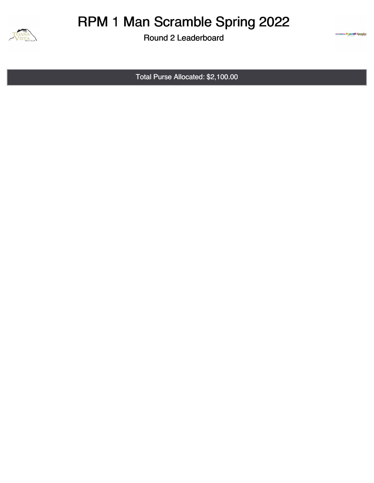

Round 2 Leaderboard

Total Purse Allocated: \$2,100.00

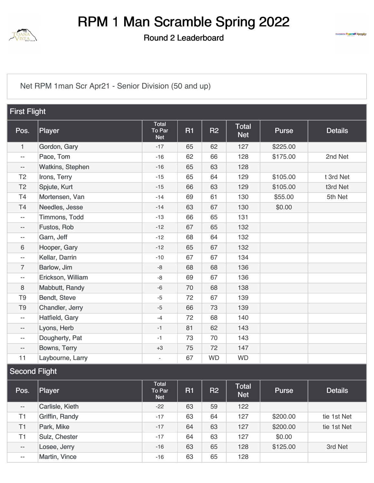

Round 2 Leaderboard



[Net RPM 1man Scr Apr21 - Senior Division \(50 and up\)](https://static.golfgenius.com/v2tournaments/8418932379028081340?called_from=&round_index=2)

| <b>First Flight</b> |                         |                                      |           |           |                     |          |                |  |
|---------------------|-------------------------|--------------------------------------|-----------|-----------|---------------------|----------|----------------|--|
| Pos.                | Player                  | <b>Total</b><br>To Par<br><b>Net</b> | <b>R1</b> | R2        | Total<br><b>Net</b> | Purse    | <b>Details</b> |  |
| $\mathbf{1}$        | Gordon, Gary            | $-17$                                | 65        | 62        | 127                 | \$225.00 |                |  |
| $-$                 | Pace, Tom               | $-16$                                | 62        | 66        | 128                 | \$175.00 | 2nd Net        |  |
| --                  | <b>Watkins, Stephen</b> | $-16$                                | 65        | 63        | 128                 |          |                |  |
| T <sub>2</sub>      | Irons, Terry            | $-15$                                | 65        | 64        | 129                 | \$105.00 | t 3rd Net      |  |
| T <sub>2</sub>      | Spjute, Kurt            | $-15$                                | 66        | 63        | 129                 | \$105.00 | t3rd Net       |  |
| T <sub>4</sub>      | Mortensen, Van          | $-14$                                | 69        | 61        | 130                 | \$55.00  | 5th Net        |  |
| T <sub>4</sub>      | Needles, Jesse          | $-14$                                | 63        | 67        | 130                 | \$0.00   |                |  |
| $- -$               | Timmons, Todd           | $-13$                                | 66        | 65        | 131                 |          |                |  |
| $\qquad \qquad -$   | Fustos, Rob             | $-12$                                | 67        | 65        | 132                 |          |                |  |
| $- -$               | Garn, Jeff              | $-12$                                | 68        | 64        | 132                 |          |                |  |
| 6                   | Hooper, Gary            | $-12$                                | 65        | 67        | 132                 |          |                |  |
| $- -$               | Kellar, Darrin          | $-10$                                | 67        | 67        | 134                 |          |                |  |
| $\overline{7}$      | Barlow, Jim             | $-8$                                 | 68        | 68        | 136                 |          |                |  |
| $- -$               | Erickson, William       | $-8$                                 | 69        | 67        | 136                 |          |                |  |
| 8                   | Mabbutt, Randy          | $-6$                                 | 70        | 68        | 138                 |          |                |  |
| T <sub>9</sub>      | Bendt, Steve            | $-5$                                 | 72        | 67        | 139                 |          |                |  |
| T <sub>9</sub>      | Chandler, Jerry         | $-5$                                 | 66        | 73        | 139                 |          |                |  |
| $-\, -$             | Hatfield, Gary          | $-4$                                 | 72        | 68        | 140                 |          |                |  |
| $\qquad \qquad -$   | Lyons, Herb             | $-1$                                 | 81        | 62        | 143                 |          |                |  |
| $-$                 | Dougherty, Pat          | $-1$                                 | 73        | 70        | 143                 |          |                |  |
| --                  | Bowns, Terry            | $+3$                                 | 75        | 72        | 147                 |          |                |  |
| 11                  | Laybourne, Larry        | ÷,                                   | 67        | <b>WD</b> | <b>WD</b>           |          |                |  |

#### Second Flight

| Pos.           | Player          | Total<br>To Par<br><b>Net</b> | R1 | R <sub>2</sub> | <b>Total</b><br><b>Net</b> | Purse    | <b>Details</b> |
|----------------|-----------------|-------------------------------|----|----------------|----------------------------|----------|----------------|
| $- -$          | Carlisle, Kieth | $-22$                         | 63 | 59             | 122                        |          |                |
| T1             | Griffin, Randy  | $-17$                         | 63 | 64             | 127                        | \$200.00 | tie 1st Net    |
| T <sub>1</sub> | Park, Mike      | $-17$                         | 64 | 63             | 127                        | \$200.00 | tie 1st Net    |
| T <sub>1</sub> | Sulz, Chester   | $-17$                         | 64 | 63             | 127                        | \$0.00   |                |
| $- -$          | Losee, Jerry    | $-16$                         | 63 | 65             | 128                        | \$125.00 | 3rd Net        |
| $- -$          | Martin, Vince   | $-16$                         | 63 | 65             | 128                        |          |                |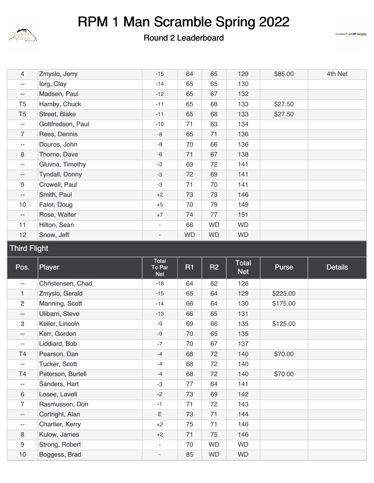

#### Round 2 Leaderboard



| $\overline{4}$           | Zmyslo, Jerry         | $-15$  | 64        | 65        | 129       | \$85.00 | 4th Net |
|--------------------------|-----------------------|--------|-----------|-----------|-----------|---------|---------|
| $\overline{\phantom{m}}$ | lorg, Clay            | $-14$  | 65        | 65        | 130       |         |         |
| $\overline{\phantom{a}}$ | Madsen, Paul          | $-12$  | 65        | 67        | 132       |         |         |
| T <sub>5</sub>           | Hamby, Chuck          | $-11$  | 65        | 68        | 133       | \$27.50 |         |
| T <sub>5</sub>           | Street, Blake         | $-11$  | 65        | 68        | 133       | \$27.50 |         |
| $--$                     | Gottfredson, Paul     | $-10$  | 71        | 63        | 134       |         |         |
| $\overline{7}$           | Rees, Dennis          | -8     | 65        | 71        | 136       |         |         |
| $\overline{\phantom{a}}$ | Douros, John          | -8     | 70        | 66        | 136       |         |         |
| 8                        | Thorne, Dave          | $-6$   | 71        | 67        | 138       |         |         |
| $\overline{\phantom{a}}$ | Gluvna, Timothy       | $-3$   | 69        | 72        | 141       |         |         |
| $\overline{\phantom{m}}$ | <b>Tyndall, Donny</b> | $-3$   | 72        | 69        | 141       |         |         |
| $\boldsymbol{9}$         | Crowell, Paul         | $-3$   | 71        | 70        | 141       |         |         |
| $\overline{\phantom{m}}$ | Smith, Paul           | $+2$   | 73        | 73        | 146       |         |         |
| 10                       | Falor, Doug           | $+5$   | 70        | 79        | 149       |         |         |
| $\overline{\phantom{a}}$ | Rose, Walter          | $+7$   | 74        | 77        | 151       |         |         |
| 11                       | Hilton, Sean          | $\sim$ | 66        | <b>WD</b> | <b>WD</b> |         |         |
| 12                       | Snow, Jeff            | $\sim$ | <b>WD</b> | <b>WD</b> | <b>WD</b> |         |         |

#### Third Flight

| Pos.                     | <b>Player</b>          | Total<br>To Par<br><b>Net</b> | <b>R1</b> | <b>R2</b> | <b>Total</b><br><b>Net</b> | Purse <sup>'</sup> | <b>Details</b> |
|--------------------------|------------------------|-------------------------------|-----------|-----------|----------------------------|--------------------|----------------|
| $- -$                    | Christensen, Chad      | $-18$                         | 64        | 62        | 126                        |                    |                |
| 1.                       | Zmyslo, Gerald         | $-15$                         | 65        | 64        | 129                        | \$225.00           |                |
| $\overline{2}$           | Manning, Scott         | $-14$                         | 66        | 64        | 130                        | \$175.00           |                |
| $-\,-$                   | Ulibarri, Steve        | $-13$                         | 66        | 65        | 131                        |                    |                |
| 3                        | Keller, Lincoln        | -9                            | 69        | 66        | 135                        | \$125.00           |                |
| $\overline{\phantom{a}}$ | Kerr, Gordon           | $-9$                          | 70        | 65        | 135                        |                    |                |
| $\qquad \qquad -$        | Liddiard, Bob          | $-7$                          | 70        | 67        | 137                        |                    |                |
| T4                       | Pearson, Dan           | $-4$                          | 68        | 72        | 140                        | \$70.00            |                |
| $\overline{\phantom{m}}$ | <b>Tucker, Scott</b>   | $-4$                          | 68        | 72        | 140                        |                    |                |
| T <sub>4</sub>           | Peterson, Burtell      | $-4$                          | 68        | 72        | 140                        | \$70.00            |                |
| $\overline{\phantom{a}}$ | Sanders, Hart          | $-3$                          | 77        | 64        | 141                        |                    |                |
| 6                        | Losee, Lavell          | $-2$                          | 73        | 69        | 142                        |                    |                |
| $\overline{7}$           | Rasmussen, Don         | $-1$                          | 71        | 72        | 143                        |                    |                |
| $\overline{\phantom{a}}$ | Cortright, Alan        | E                             | 73        | 71        | 144                        |                    |                |
| $\overline{\phantom{a}}$ | <b>Chartier, Kerry</b> | $+2$                          | 75        | 71        | 146                        |                    |                |
| 8                        | Kulow, James           | $+2$                          | 71        | 75        | 146                        |                    |                |
| 9                        | Strong, Robert         |                               | 70        | <b>WD</b> | <b>WD</b>                  |                    |                |
| 10                       | Boggess, Brad          | $\overline{\phantom{a}}$      | 85        | <b>WD</b> | <b>WD</b>                  |                    |                |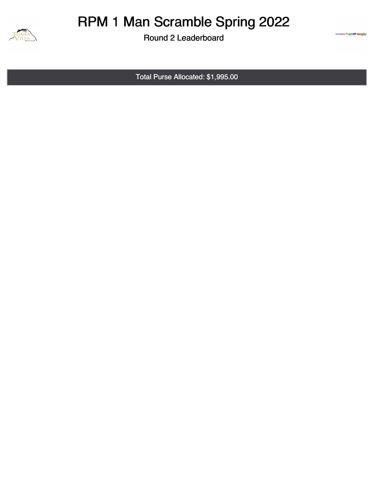

Round 2 Leaderboard

Total Purse Allocated: \$1,995.00

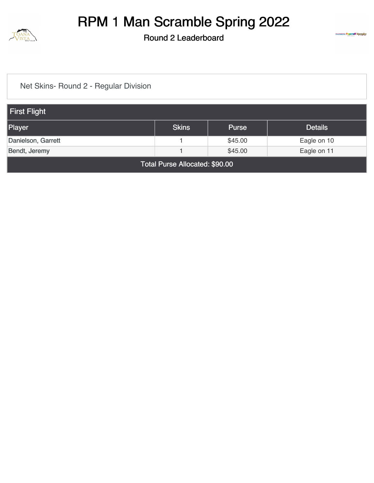

Round 2 Leaderboard



[Net Skins- Round 2 - Regular Division](https://static.golfgenius.com/v2tournaments/8393024455479184098?called_from=&round_index=2)

| First Flight                                             |  |         |             |  |  |  |  |  |
|----------------------------------------------------------|--|---------|-------------|--|--|--|--|--|
| <b>Skins</b><br>Player<br><b>Details</b><br><b>Purse</b> |  |         |             |  |  |  |  |  |
| Danielson, Garrett                                       |  | \$45.00 | Eagle on 10 |  |  |  |  |  |
| \$45.00<br>Bendt, Jeremy<br>Eagle on 11                  |  |         |             |  |  |  |  |  |
| Total Purse Allocated: \$90.00                           |  |         |             |  |  |  |  |  |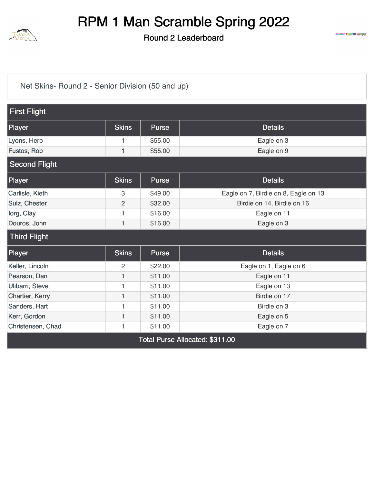

Round 2 Leaderboard



[Net Skins- Round 2 - Senior Division \(50 and up\)](https://static.golfgenius.com/v2tournaments/8393024452828383969?called_from=&round_index=2)

| <b>First Flight</b>             |                |              |                                      |  |  |  |  |  |  |  |  |
|---------------------------------|----------------|--------------|--------------------------------------|--|--|--|--|--|--|--|--|
| Player                          | <b>Skins</b>   | Purse        | <b>Details</b>                       |  |  |  |  |  |  |  |  |
| Lyons, Herb                     | 1              | \$55.00      | Eagle on 3                           |  |  |  |  |  |  |  |  |
| Fustos, Rob                     | 1              | \$55.00      | Eagle on 9                           |  |  |  |  |  |  |  |  |
| <b>Second Flight</b>            |                |              |                                      |  |  |  |  |  |  |  |  |
| Player                          | <b>Skins</b>   | <b>Purse</b> | <b>Details</b>                       |  |  |  |  |  |  |  |  |
| Carlisle, Kieth                 | 3              | \$49.00      | Eagle on 7, Birdie on 8, Eagle on 13 |  |  |  |  |  |  |  |  |
| Sulz, Chester                   | $\overline{c}$ | \$32.00      | Birdie on 14, Birdie on 16           |  |  |  |  |  |  |  |  |
| lorg, Clay                      | 1              | \$16.00      | Eagle on 11                          |  |  |  |  |  |  |  |  |
| Douros, John                    | $\mathbf{1}$   | \$16.00      | Eagle on 3                           |  |  |  |  |  |  |  |  |
| <b>Third Flight</b>             |                |              |                                      |  |  |  |  |  |  |  |  |
| Player                          | <b>Skins</b>   | <b>Purse</b> | <b>Details</b>                       |  |  |  |  |  |  |  |  |
| Keller, Lincoln                 | 2              | \$22.00      | Eagle on 1, Eagle on 6               |  |  |  |  |  |  |  |  |
| Pearson, Dan                    | 1              | \$11.00      | Eagle on 11                          |  |  |  |  |  |  |  |  |
| Ulibarri, Steve                 | 1              | \$11.00      | Eagle on 13                          |  |  |  |  |  |  |  |  |
| Chartier, Kerry                 | $\mathbf{1}$   | \$11.00      | Birdie on 17                         |  |  |  |  |  |  |  |  |
| Sanders, Hart                   | 1              | \$11.00      | Birdie on 3                          |  |  |  |  |  |  |  |  |
| Kerr, Gordon                    | $\mathbf{1}$   | \$11.00      | Eagle on 5                           |  |  |  |  |  |  |  |  |
| Christensen, Chad               | 1              | \$11.00      | Eagle on 7                           |  |  |  |  |  |  |  |  |
| Total Purse Allocated: \$311.00 |                |              |                                      |  |  |  |  |  |  |  |  |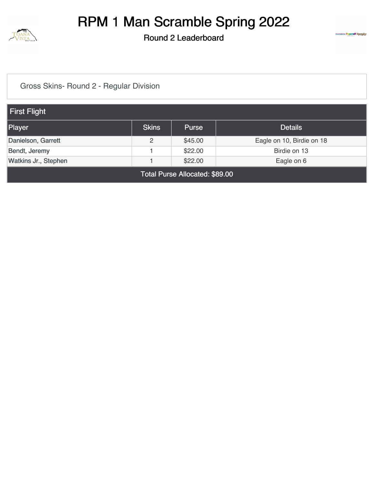

Round 2 Leaderboard



[Gross Skins- Round 2 - Regular Division](https://static.golfgenius.com/v2tournaments/8393024473900567268?called_from=&round_index=2)

| First Flight                   |              |              |                           |  |  |
|--------------------------------|--------------|--------------|---------------------------|--|--|
| Player                         | <b>Skins</b> | <b>Purse</b> | <b>Details</b>            |  |  |
| Danielson, Garrett             | 2            | \$45.00      | Eagle on 10, Birdie on 18 |  |  |
| Bendt, Jeremy                  |              | \$22.00      | Birdie on 13              |  |  |
| Watkins Jr., Stephen           |              | \$22.00      | Eagle on 6                |  |  |
| Total Purse Allocated: \$89.00 |              |              |                           |  |  |